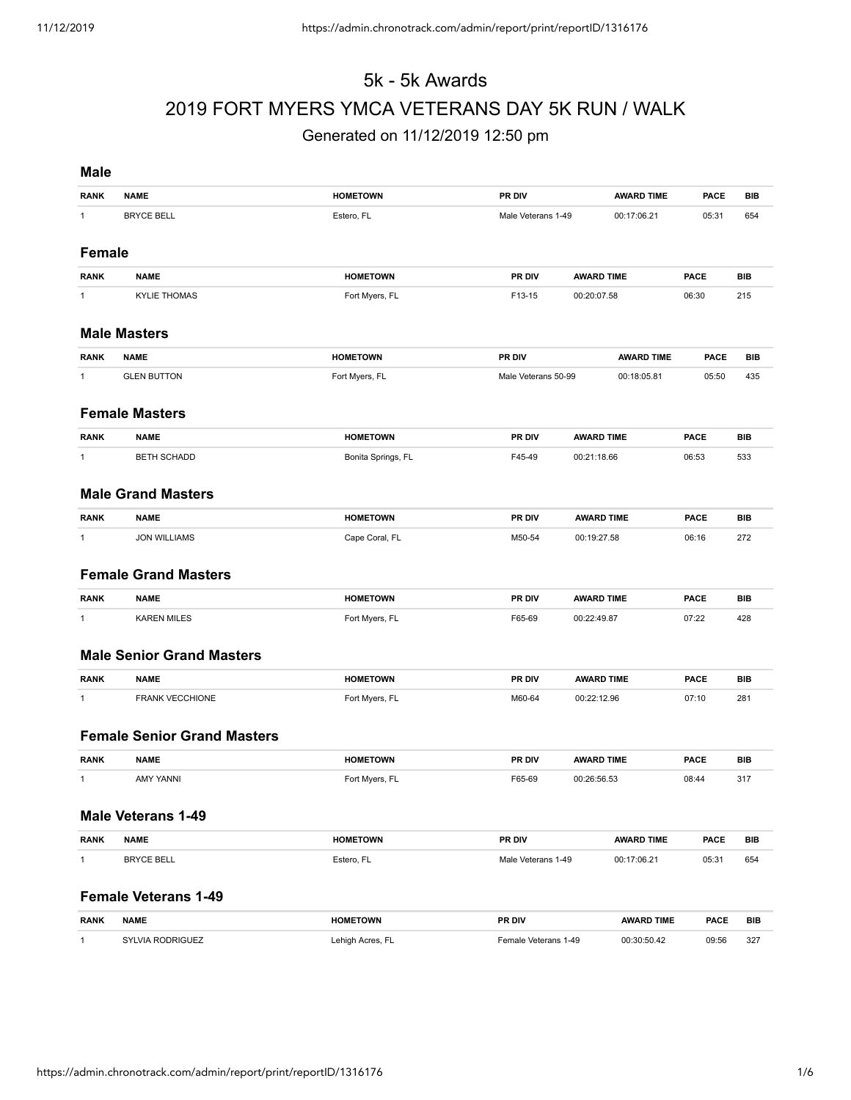# 5k - 5k Awards 2019 FORT MYERS YMCA VETERANS DAY 5K RUN / WALK

# Generated on 11/12/2019 12:50 pm

| <b>Male</b>   |                                    |                    |                      |                   |             |            |
|---------------|------------------------------------|--------------------|----------------------|-------------------|-------------|------------|
| <b>RANK</b>   | <b>NAME</b>                        | <b>HOMETOWN</b>    | PR DIV               | <b>AWARD TIME</b> | <b>PACE</b> | <b>BIB</b> |
| $\mathbf{1}$  | <b>BRYCE BELL</b>                  | Estero, FL         | Male Veterans 1-49   | 00:17:06.21       | 05:31       | 654        |
| <b>Female</b> |                                    |                    |                      |                   |             |            |
| <b>RANK</b>   | <b>NAME</b>                        | <b>HOMETOWN</b>    | PR DIV               | <b>AWARD TIME</b> | <b>PACE</b> | <b>BIB</b> |
| $\mathbf{1}$  | <b>KYLIE THOMAS</b>                | Fort Myers, FL     | F13-15               | 00:20:07.58       | 06:30       | 215        |
|               | <b>Male Masters</b>                |                    |                      |                   |             |            |
| <b>RANK</b>   | <b>NAME</b>                        | <b>HOMETOWN</b>    | PR DIV               | <b>AWARD TIME</b> | <b>PACE</b> | <b>BIB</b> |
| $\mathbf{1}$  | <b>GLEN BUTTON</b>                 | Fort Myers, FL     | Male Veterans 50-99  | 00:18:05.81       | 05:50       | 435        |
|               | <b>Female Masters</b>              |                    |                      |                   |             |            |
| <b>RANK</b>   | <b>NAME</b>                        | <b>HOMETOWN</b>    | PR DIV               | <b>AWARD TIME</b> | <b>PACE</b> | <b>BIB</b> |
| $\mathbf{1}$  | <b>BETH SCHADD</b>                 | Bonita Springs, FL | F45-49               | 00:21:18.66       | 06:53       | 533        |
|               | <b>Male Grand Masters</b>          |                    |                      |                   |             |            |
| <b>RANK</b>   | <b>NAME</b>                        | <b>HOMETOWN</b>    | PR DIV               | <b>AWARD TIME</b> | <b>PACE</b> | <b>BIB</b> |
| $\mathbf{1}$  | <b>JON WILLIAMS</b>                | Cape Coral, FL     | M50-54               | 00:19:27.58       | 06:16       | 272        |
|               | <b>Female Grand Masters</b>        |                    |                      |                   |             |            |
| <b>RANK</b>   | <b>NAME</b>                        | <b>HOMETOWN</b>    | PR DIV               | <b>AWARD TIME</b> | <b>PACE</b> | <b>BIB</b> |
| $\mathbf{1}$  | <b>KAREN MILES</b>                 | Fort Myers, FL     | F65-69               | 00:22:49.87       | 07:22       | 428        |
|               | <b>Male Senior Grand Masters</b>   |                    |                      |                   |             |            |
| <b>RANK</b>   | <b>NAME</b>                        | <b>HOMETOWN</b>    | PR DIV               | <b>AWARD TIME</b> | <b>PACE</b> | <b>BIB</b> |
| $\mathbf{1}$  | FRANK VECCHIONE                    | Fort Myers, FL     | M60-64               | 00:22:12.96       | 07:10       | 281        |
|               | <b>Female Senior Grand Masters</b> |                    |                      |                   |             |            |
| <b>RANK</b>   | <b>NAME</b>                        | <b>HOMETOWN</b>    | PR DIV               | <b>AWARD TIME</b> | <b>PACE</b> | <b>BIB</b> |
| $\mathbf{1}$  | <b>AMY YANNI</b>                   | Fort Myers, FL     | F65-69               | 00:26:56.53       | 08:44       | 317        |
|               | <b>Male Veterans 1-49</b>          |                    |                      |                   |             |            |
| <b>RANK</b>   | <b>NAME</b>                        | <b>HOMETOWN</b>    | PR DIV               | <b>AWARD TIME</b> | <b>PACE</b> | BIB        |
| $\mathbf{1}$  | <b>BRYCE BELL</b>                  | Estero, FL         | Male Veterans 1-49   | 00:17:06.21       | 05:31       | 654        |
|               | <b>Female Veterans 1-49</b>        |                    |                      |                   |             |            |
| <b>RANK</b>   | <b>NAME</b>                        | <b>HOMETOWN</b>    | PR DIV               | <b>AWARD TIME</b> | PACE        | BIB        |
| $\mathbf{1}$  | SYLVIA RODRIGUEZ                   | Lehigh Acres, FL   | Female Veterans 1-49 | 00:30:50.42       | 09:56       | 327        |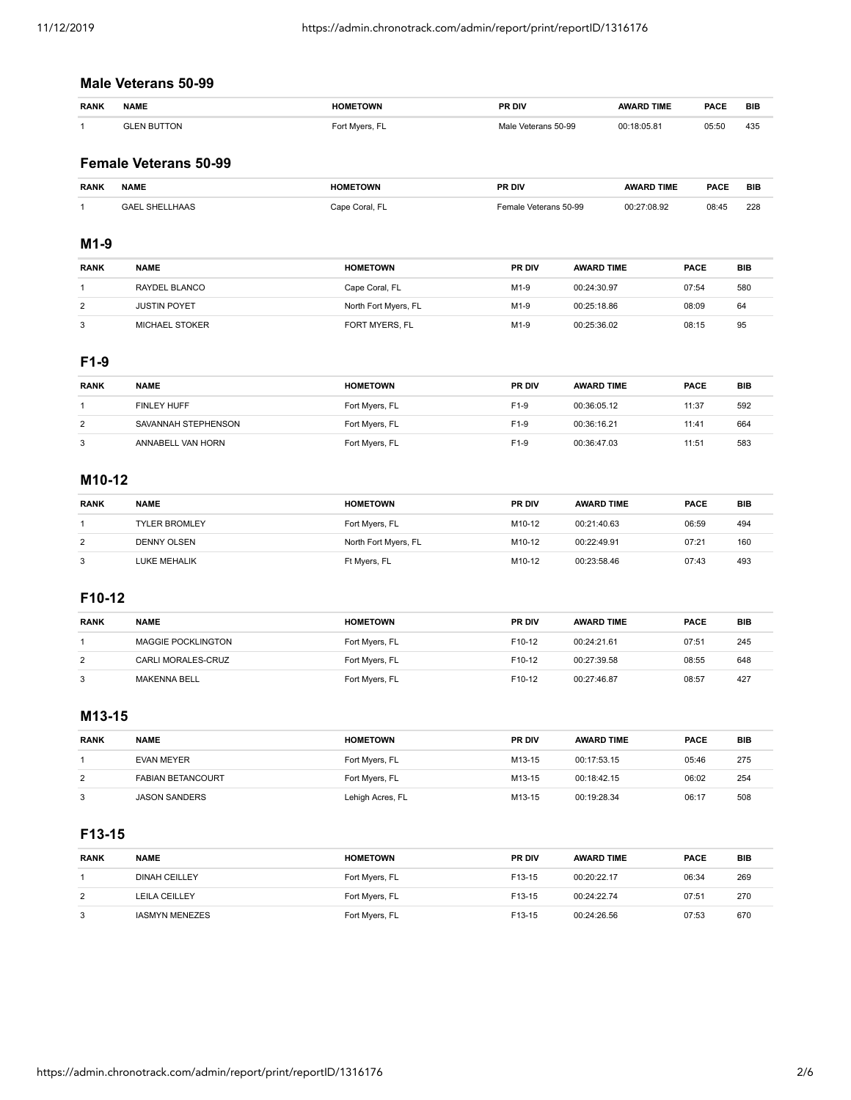# **Male Veterans 50-99**

| <b>RANK</b> | <b>NAME</b>        | <b>HOMETOWN</b> | PR DIV              | <b>AWARD TIME</b> | <b>PACE</b> | <b>BIB</b> |
|-------------|--------------------|-----------------|---------------------|-------------------|-------------|------------|
|             | <b>GLEN BUTTON</b> | Fort Myers, FL  | Male Veterans 50-99 | 00:18:05.81       | 05:50       | 435        |

# **Female Veterans 50-99**

| <b>RANK</b> | <b>NAME</b>                  | <b>HOMETOWN</b> | PR DIV                       | <b>AWARD TIME</b> | <b>PACF</b> | <b>BIE</b> |
|-------------|------------------------------|-----------------|------------------------------|-------------------|-------------|------------|
|             | `LHAAS<br><b>SHE</b><br>RAFI | : Coral.<br>nnc | 50-99 ن<br>emale<br>veterans | 27:08.92          | 08:45       | 228        |

#### **M1-9**

| <b>RANK</b> | <b>NAME</b>         | <b>HOMETOWN</b>      | <b>PR DIV</b> | <b>AWARD TIME</b> | <b>PACE</b> | BIB |
|-------------|---------------------|----------------------|---------------|-------------------|-------------|-----|
|             | RAYDEL BLANCO       | Cape Coral, FL       | $M1-9$        | 00:24:30.97       | 07:54       | 580 |
| 2           | <b>JUSTIN POYET</b> | North Fort Myers, FL | $M1-9$        | 00:25:18.86       | 08:09       | 64  |
| 3           | MICHAEL STOKER      | FORT MYERS, FL       | $M1-9$        | 00:25:36.02       | 08:15       | 95  |

# **F1-9**

| <b>RANK</b> | <b>NAME</b>         | <b>HOMETOWN</b> | <b>PR DIV</b> | <b>AWARD TIME</b> | <b>PACE</b> | BIB |
|-------------|---------------------|-----------------|---------------|-------------------|-------------|-----|
|             | <b>FINLEY HUFF</b>  | Fort Myers, FL  | $F1-9$        | 00:36:05.12       | 11:37       | 592 |
| 2           | SAVANNAH STEPHENSON | Fort Myers, FL  | $F1-9$        | 00:36:16.21       | 11:41       | 664 |
| 3           | ANNABELL VAN HORN   | Fort Myers, FL  | $F1-9$        | 00:36:47.03       | 11:51       | 583 |

# **M10-12**

| <b>RANK</b> | <b>NAME</b>          | <b>HOMETOWN</b>      | <b>PR DIV</b> | <b>AWARD TIME</b> | <b>PACE</b> | BIB |
|-------------|----------------------|----------------------|---------------|-------------------|-------------|-----|
|             | <b>TYLER BROMLEY</b> | Fort Myers, FL       | M10-12        | 00:21:40.63       | 06:59       | 494 |
| 2           | DENNY OLSEN          | North Fort Myers, FL | M10-12        | 00:22:49.91       | 07:21       | 160 |
| 3           | LUKE MEHALIK         | Ft Myers, FL         | M10-12        | 00:23:58.46       | 07:43       | 493 |

# **F10-12**

| <b>RANK</b> | <b>NAME</b>               | <b>HOMETOWN</b> | <b>PR DIV</b>      | <b>AWARD TIME</b> | <b>PACE</b> | BIB |
|-------------|---------------------------|-----------------|--------------------|-------------------|-------------|-----|
|             | <b>MAGGIE POCKLINGTON</b> | Fort Myers, FL  | F10-12             | 00:24:21.61       | 07:51       | 245 |
| 2           | CARLI MORALES-CRUZ        | Fort Myers, FL  | F10-12             | 00:27:39.58       | 08:55       | 648 |
| 3           | <b>MAKENNA BELL</b>       | Fort Myers, FL  | F <sub>10-12</sub> | 00:27:46.87       | 08:57       | 427 |

#### **M13-15**

| <b>RANK</b> | <b>NAME</b>              | <b>HOMETOWN</b>  | PR DIV | <b>AWARD TIME</b> | <b>PACE</b> | <b>BIB</b> |
|-------------|--------------------------|------------------|--------|-------------------|-------------|------------|
|             | EVAN MEYER               | Fort Myers, FL   | M13-15 | 00:17:53.15       | 05:46       | 275        |
| 2           | <b>FABIAN BETANCOURT</b> | Fort Myers, FL   | M13-15 | 00:18:42.15       | 06:02       | 254        |
| 3           | <b>JASON SANDERS</b>     | Lehigh Acres, FL | M13-15 | 00:19:28.34       | 06:17       | 508        |

# **F13-15**

| <b>RANK</b> | <b>NAME</b>           | <b>HOMETOWN</b> | <b>PR DIV</b> | <b>AWARD TIME</b> | <b>PACE</b> | <b>BIB</b> |
|-------------|-----------------------|-----------------|---------------|-------------------|-------------|------------|
|             | <b>DINAH CEILLEY</b>  | Fort Myers, FL  | F13-15        | 00:20:22.17       | 06:34       | 269        |
| 2           | <b>LEILA CEILLEY</b>  | Fort Myers, FL  | F13-15        | 00:24:22.74       | 07:51       | 270        |
| 3           | <b>IASMYN MENEZES</b> | Fort Myers, FL  | F13-15        | 00:24:26.56       | 07:53       | 670        |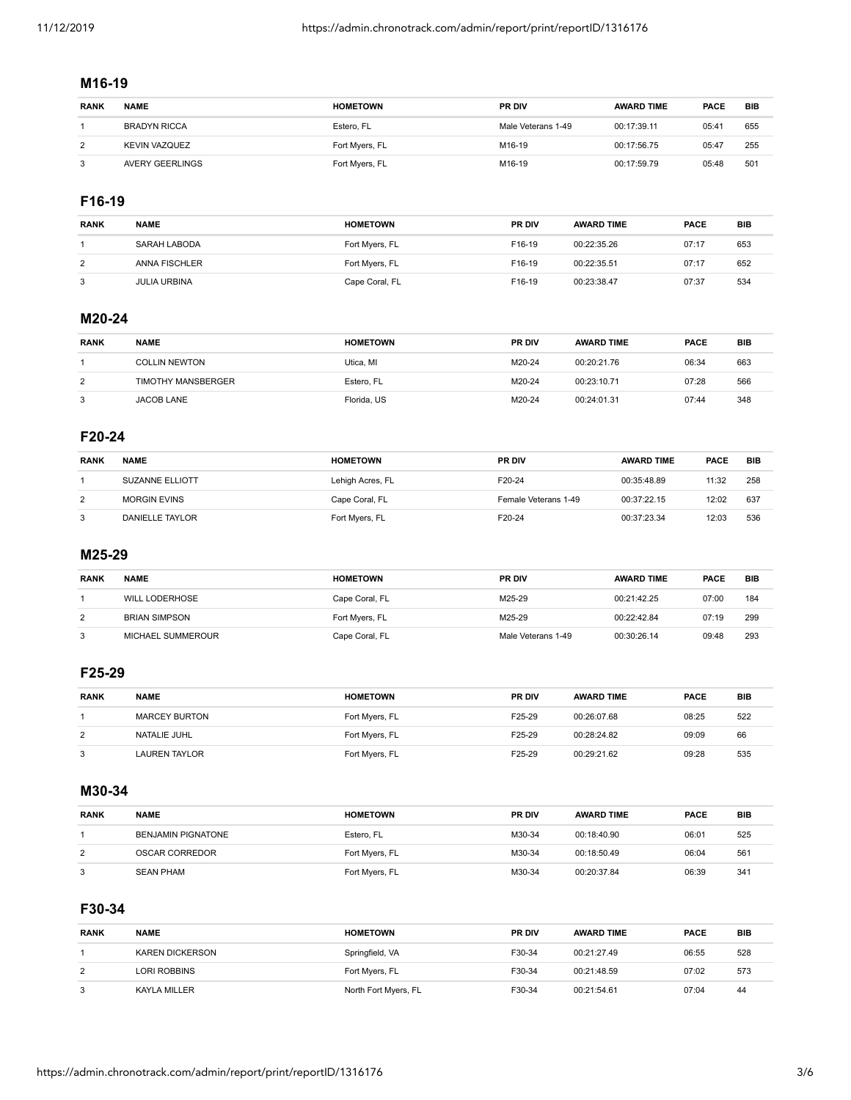#### **M16-19**

| <b>RANK</b> | <b>NAME</b>          | <b>HOMETOWN</b> | <b>PR DIV</b>      | <b>AWARD TIME</b> | <b>PACE</b> | <b>BIB</b> |
|-------------|----------------------|-----------------|--------------------|-------------------|-------------|------------|
|             | <b>BRADYN RICCA</b>  | Estero, FL      | Male Veterans 1-49 | 00:17:39.11       | 05:41       | 655        |
|             | <b>KEVIN VAZQUEZ</b> | Fort Myers, FL  | M16-19             | 00:17:56.75       | 05:47       | 255        |
|             | AVERY GEERLINGS      | Fort Myers, FL  | M16-19             | 00:17:59.79       | 05:48       | 501        |

# **F16-19**

| <b>RANK</b> | <b>NAME</b>          | <b>HOMETOWN</b> | <b>PR DIV</b> | <b>AWARD TIME</b> | <b>PACE</b> | <b>BIB</b> |
|-------------|----------------------|-----------------|---------------|-------------------|-------------|------------|
|             | SARAH LABODA         | Fort Myers, FL  | F16-19        | 00:22:35.26       | 07:17       | 653        |
| 2           | <b>ANNA FISCHLER</b> | Fort Myers, FL  | F16-19        | 00:22:35.51       | 07:17       | 652        |
| 3           | <b>JULIA URBINA</b>  | Cape Coral, FL  | F16-19        | 00:23:38.47       | 07:37       | 534        |

# **M20-24**

| <b>RANK</b> | <b>NAME</b>          | <b>HOMETOWN</b> | <b>PR DIV</b> | <b>AWARD TIME</b> | <b>PACE</b> | BIB |
|-------------|----------------------|-----------------|---------------|-------------------|-------------|-----|
|             | <b>COLLIN NEWTON</b> | Utica. MI       | M20-24        | 00:20:21.76       | 06:34       | 663 |
| 2           | TIMOTHY MANSBERGER   | Estero, FL      | M20-24        | 00:23:10.71       | 07:28       | 566 |
| 3           | JACOB LANE           | Florida, US     | M20-24        | 00:24:01.31       | 07:44       | 348 |

# **F20-24**

| <b>RANK</b> | <b>NAME</b>            | <b>HOMETOWN</b>  | <b>PR DIV</b>        | <b>AWARD TIME</b> | <b>PACE</b> | BIB |
|-------------|------------------------|------------------|----------------------|-------------------|-------------|-----|
|             | <b>SUZANNE ELLIOTT</b> | Lehigh Acres, FL | F20-24               | 00:35:48.89       | 11:32       | 258 |
| 2           | <b>MORGIN EVINS</b>    | Cape Coral, FL   | Female Veterans 1-49 | 00:37:22.15       | 12:02       | 637 |
| 3           | <b>DANIELLE TAYLOR</b> | Fort Myers, FL   | F20-24               | 00:37:23.34       | 12:03       | 536 |

#### **M25-29**

| <b>RANK</b> | <b>NAME</b>           | <b>HOMETOWN</b> | <b>PR DIV</b>      | <b>AWARD TIME</b> | <b>PACE</b> | <b>BIB</b> |
|-------------|-----------------------|-----------------|--------------------|-------------------|-------------|------------|
|             | <b>WILL LODERHOSE</b> | Cape Coral, FL  | M25-29             | 00:21:42.25       | 07:00       | 184        |
| 2           | <b>BRIAN SIMPSON</b>  | Fort Myers, FL  | M25-29             | 00:22:42.84       | 07:19       | 299        |
| 3           | MICHAEL SUMMEROUR     | Cape Coral, FL  | Male Veterans 1-49 | 00:30:26.14       | 09:48       | 293        |

## **F25-29**

| <b>RANK</b> | <b>NAME</b>          | <b>HOMETOWN</b> | <b>PR DIV</b> | <b>AWARD TIME</b> | <b>PACE</b> | BIB |
|-------------|----------------------|-----------------|---------------|-------------------|-------------|-----|
|             | <b>MARCEY BURTON</b> | Fort Myers, FL  | F25-29        | 00:26:07.68       | 08:25       | 522 |
| 2           | NATALIE JUHL         | Fort Myers, FL  | F25-29        | 00:28:24.82       | 09:09       | 66  |
| 3           | LAUREN TAYLOR        | Fort Myers, FL  | F25-29        | 00:29:21.62       | 09:28       | 535 |

#### **M30-34**

| <b>RANK</b> | <b>NAME</b>               | <b>HOMETOWN</b> | <b>PR DIV</b> | <b>AWARD TIME</b> | <b>PACE</b> | <b>BIB</b> |
|-------------|---------------------------|-----------------|---------------|-------------------|-------------|------------|
|             | <b>BENJAMIN PIGNATONE</b> | Estero, FL      | M30-34        | 00:18:40.90       | 06:01       | 525        |
| 2           | OSCAR CORREDOR            | Fort Myers, FL  | M30-34        | 00:18:50.49       | 06:04       | 561        |
| 3           | <b>SEAN PHAM</b>          | Fort Myers, FL  | M30-34        | 00:20:37.84       | 06:39       | 341        |

# **F30-34**

| <b>RANK</b> | <b>NAME</b>            | <b>HOMETOWN</b>      | <b>PR DIV</b> | <b>AWARD TIME</b> | <b>PACE</b> | <b>BIB</b> |
|-------------|------------------------|----------------------|---------------|-------------------|-------------|------------|
|             | <b>KAREN DICKERSON</b> | Springfield, VA      | F30-34        | 00:21:27.49       | 06:55       | 528        |
| 2           | LORI ROBBINS           | Fort Myers, FL       | F30-34        | 00:21:48.59       | 07:02       | 573        |
| 3           | KAYLA MILLER           | North Fort Myers, FL | F30-34        | 00:21:54.61       | 07:04       | 44         |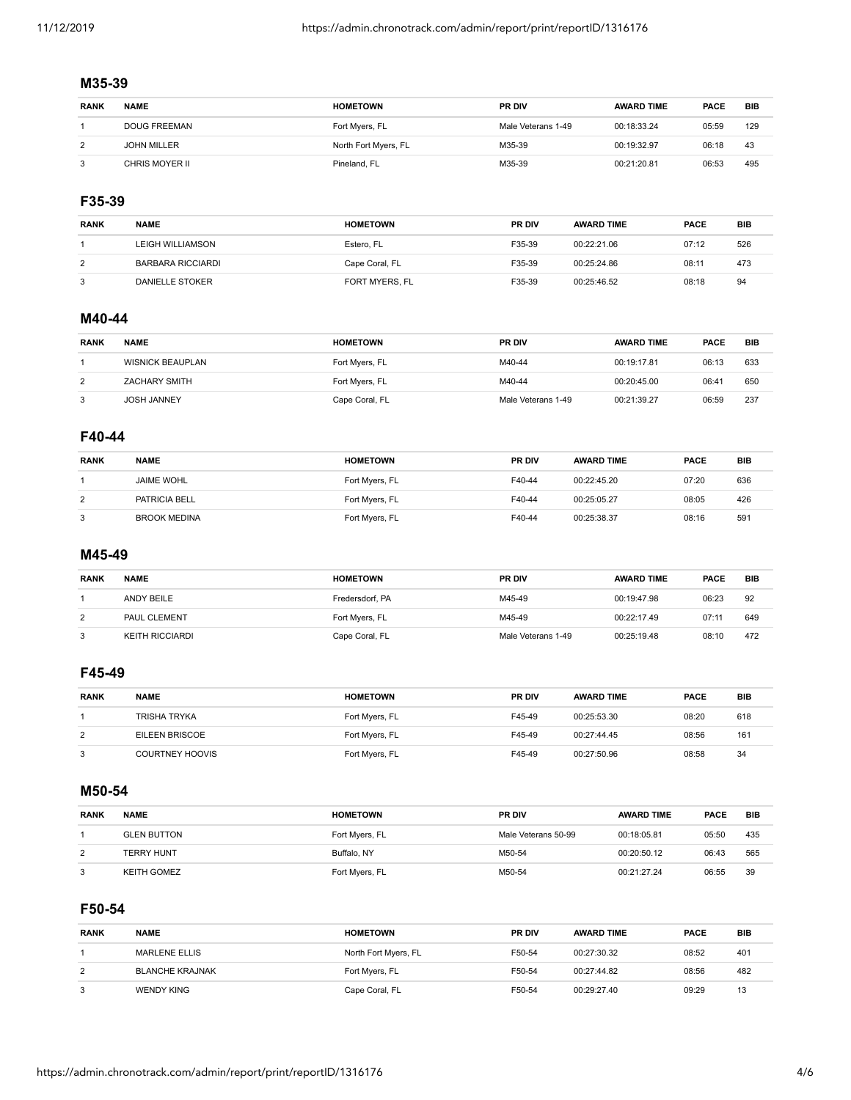#### **M35-39**

| <b>RANK</b> | <b>NAME</b>         | <b>HOMETOWN</b>      | <b>PR DIV</b>      | <b>AWARD TIME</b> | <b>PACE</b> | <b>BIB</b> |
|-------------|---------------------|----------------------|--------------------|-------------------|-------------|------------|
|             | <b>DOUG FREEMAN</b> | Fort Myers, FL       | Male Veterans 1-49 | 00:18:33.24       | 05:59       | 129        |
|             | <b>JOHN MILLER</b>  | North Fort Myers, FL | M35-39             | 00:19:32.97       | 06:18       | 43         |
|             | CHRIS MOYER II      | Pineland, FL         | M35-39             | 00:21:20.81       | 06:53       | 495        |

# **F35-39**

| <b>RANK</b> | <b>NAME</b>              | <b>HOMETOWN</b> | <b>PR DIV</b> | <b>AWARD TIME</b> | <b>PACE</b> | <b>BIB</b> |
|-------------|--------------------------|-----------------|---------------|-------------------|-------------|------------|
|             | <b>LEIGH WILLIAMSON</b>  | Estero, FL      | F35-39        | 00:22:21.06       | 07:12       | 526        |
| 2           | <b>BARBARA RICCIARDI</b> | Cape Coral, FL  | F35-39        | 00:25:24.86       | 08:11       | 473        |
| 3           | DANIELLE STOKER          | FORT MYERS, FL  | F35-39        | 00:25:46.52       | 08:18       | 94         |

# **M40-44**

| <b>RANK</b> | <b>NAME</b>             | <b>HOMETOWN</b> | <b>PR DIV</b>      | <b>AWARD TIME</b> | <b>PACE</b> | <b>BIB</b> |
|-------------|-------------------------|-----------------|--------------------|-------------------|-------------|------------|
|             | <b>WISNICK BEAUPLAN</b> | Fort Myers, FL  | M40-44             | 00:19:17.81       | 06:13       | 633        |
| 2           | <b>ZACHARY SMITH</b>    | Fort Myers, FL  | M40-44             | 00:20:45.00       | 06:41       | 650        |
| 3           | <b>JOSH JANNEY</b>      | Cape Coral, FL  | Male Veterans 1-49 | 00:21:39.27       | 06:59       | 237        |

# **F40-44**

| <b>RANK</b> | <b>NAME</b>         | <b>HOMETOWN</b> | <b>PR DIV</b> | <b>AWARD TIME</b> | <b>PACE</b> | <b>BIB</b> |
|-------------|---------------------|-----------------|---------------|-------------------|-------------|------------|
|             | <b>JAIME WOHL</b>   | Fort Myers, FL  | F40-44        | 00:22:45.20       | 07:20       | 636        |
| 2           | PATRICIA BELL       | Fort Myers, FL  | F40-44        | 00:25:05.27       | 08:05       | 426        |
| 3           | <b>BROOK MEDINA</b> | Fort Myers, FL  | F40-44        | 00:25:38.37       | 08:16       | 591        |

#### **M45-49**

| <b>RANK</b> | <b>NAME</b>     | <b>HOMETOWN</b> | <b>PR DIV</b>      | <b>AWARD TIME</b> | <b>PACE</b> | BIB |
|-------------|-----------------|-----------------|--------------------|-------------------|-------------|-----|
|             | ANDY BEILE      | Fredersdorf, PA | M45-49             | 00:19:47.98       | 06:23       | 92  |
| 2           | PAUL CLEMENT    | Fort Myers, FL  | M45-49             | 00:22:17.49       | 07:11       | 649 |
| 3           | KEITH RICCIARDI | Cape Coral, FL  | Male Veterans 1-49 | 00:25:19.48       | 08:10       | 472 |

## **F45-49**

| <b>RANK</b> | <b>NAME</b>            | <b>HOMETOWN</b> | <b>PR DIV</b> | <b>AWARD TIME</b> | <b>PACE</b> | BIB |
|-------------|------------------------|-----------------|---------------|-------------------|-------------|-----|
|             | <b>TRISHA TRYKA</b>    | Fort Myers, FL  | F45-49        | 00:25:53.30       | 08:20       | 618 |
| 2           | EILEEN BRISCOE         | Fort Myers, FL  | F45-49        | 00:27:44.45       | 08:56       | 161 |
| 3           | <b>COURTNEY HOOVIS</b> | Fort Myers, FL  | F45-49        | 00:27:50.96       | 08:58       | 34  |

#### **M50-54**

| <b>RANK</b> | <b>NAME</b>        | <b>HOMETOWN</b> | <b>PR DIV</b>       | <b>AWARD TIME</b> | <b>PACE</b> | <b>BIB</b> |
|-------------|--------------------|-----------------|---------------------|-------------------|-------------|------------|
|             | <b>GLEN BUTTON</b> | Fort Myers, FL  | Male Veterans 50-99 | 00:18:05.81       | 05:50       | 435        |
| 2           | <b>TERRY HUNT</b>  | Buffalo, NY     | M50-54              | 00:20:50.12       | 06:43       | 565        |
| 3           | KEITH GOMEZ        | Fort Myers, FL  | M50-54              | 00:21:27.24       | 06:55       | 39         |

#### **F50-54**

| <b>RANK</b> | <b>NAME</b>            | <b>HOMETOWN</b>      | <b>PR DIV</b> | <b>AWARD TIME</b> | <b>PACE</b> | BIB |
|-------------|------------------------|----------------------|---------------|-------------------|-------------|-----|
|             | MARLENE ELLIS          | North Fort Myers, FL | F50-54        | 00:27:30.32       | 08:52       | 401 |
| 2           | <b>BLANCHE KRAJNAK</b> | Fort Myers, FL       | F50-54        | 00:27:44.82       | 08:56       | 482 |
| 3           | WENDY KING             | Cape Coral, FL       | F50-54        | 00:29:27.40       | 09:29       | 13  |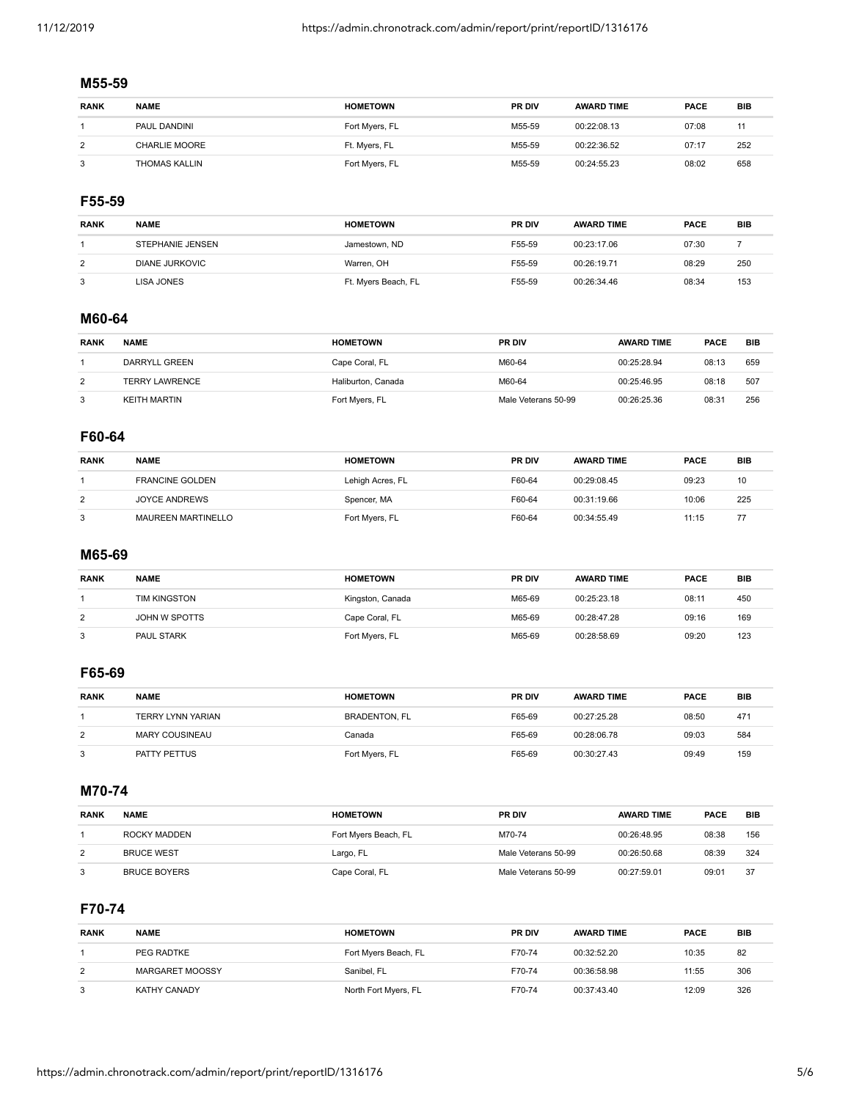# **M55-59**

| <b>RANK</b> | <b>NAME</b>          | <b>HOMETOWN</b> | <b>PR DIV</b> | <b>AWARD TIME</b> | <b>PACE</b> | <b>BIB</b> |
|-------------|----------------------|-----------------|---------------|-------------------|-------------|------------|
|             | PAUL DANDINI         | Fort Myers, FL  | M55-59        | 00:22:08.13       | 07:08       |            |
| 2           | <b>CHARLIE MOORE</b> | Ft. Myers, FL   | M55-59        | 00:22:36.52       | 07:17       | 252        |
| 3           | THOMAS KALLIN        | Fort Myers, FL  | M55-59        | 00:24:55.23       | 08:02       | 658        |

# **F55-59**

| <b>RANK</b> | <b>NAME</b>           | <b>HOMETOWN</b>     | <b>PR DIV</b> | <b>AWARD TIME</b> | <b>PACE</b> | BIB |
|-------------|-----------------------|---------------------|---------------|-------------------|-------------|-----|
|             | STEPHANIE JENSEN      | Jamestown, ND       | F55-59        | 00:23:17.06       | 07:30       |     |
| 2           | <b>DIANE JURKOVIC</b> | Warren, OH          | F55-59        | 00:26:19.71       | 08:29       | 250 |
|             | LISA JONES            | Ft. Myers Beach, FL | F55-59        | 00:26:34.46       | 08:34       | 153 |

#### **M60-64**

| <b>RANK</b> | <b>NAME</b>           | <b>HOMETOWN</b>    | <b>PR DIV</b>       | <b>AWARD TIME</b> | <b>PACE</b> | <b>BIB</b> |
|-------------|-----------------------|--------------------|---------------------|-------------------|-------------|------------|
|             | DARRYLL GREEN         | Cape Coral, FL     | M60-64              | 00:25:28.94       | 08:13       | 659        |
| 2           | <b>TERRY LAWRENCE</b> | Haliburton, Canada | M60-64              | 00:25:46.95       | 08:18       | 507        |
| 3           | KEITH MARTIN          | Fort Myers, FL     | Male Veterans 50-99 | 00:26:25.36       | 08:31       | 256        |

# **F60-64**

| <b>RANK</b> | <b>NAME</b>               | <b>HOMETOWN</b>  | <b>PR DIV</b> | <b>AWARD TIME</b> | <b>PACE</b> | <b>BIB</b> |
|-------------|---------------------------|------------------|---------------|-------------------|-------------|------------|
|             | <b>FRANCINE GOLDEN</b>    | Lehigh Acres, FL | F60-64        | 00:29:08.45       | 09:23       | 10         |
| 2           | <b>JOYCE ANDREWS</b>      | Spencer, MA      | F60-64        | 00:31:19.66       | 10:06       | 225        |
| 3           | <b>MAUREEN MARTINELLO</b> | Fort Myers, FL   | F60-64        | 00:34:55.49       | 11:15       | 77         |

#### **M65-69**

| <b>RANK</b> | <b>NAME</b>       | <b>HOMETOWN</b>  | <b>PR DIV</b> | <b>AWARD TIME</b> | <b>PACE</b> | BIB |
|-------------|-------------------|------------------|---------------|-------------------|-------------|-----|
|             | TIM KINGSTON      | Kingston, Canada | M65-69        | 00:25:23.18       | 08:1'       | 450 |
| 2           | JOHN W SPOTTS     | Cape Coral, FL   | M65-69        | 00:28:47.28       | 09:16       | 169 |
| 3           | <b>PAUL STARK</b> | Fort Myers, FL   | M65-69        | 00:28:58.69       | 09:20       | 123 |

## **F65-69**

| <b>RANK</b> | <b>NAME</b>       | <b>HOMETOWN</b>      | <b>PR DIV</b> | <b>AWARD TIME</b> | <b>PACE</b> | <b>BIB</b> |
|-------------|-------------------|----------------------|---------------|-------------------|-------------|------------|
|             | TERRY LYNN YARIAN | <b>BRADENTON, FL</b> | F65-69        | 00:27:25.28       | 08:50       | 471        |
| 2           | MARY COUSINEAU    | Canada               | F65-69        | 00:28:06.78       | 09:03       | 584        |
|             | PATTY PETTUS      | Fort Myers, FL       | F65-69        | 00:30:27.43       | 09:49       | 159        |

#### **M70-74**

| <b>RANK</b> | <b>NAME</b>         | <b>HOMETOWN</b>      | <b>PR DIV</b>       | <b>AWARD TIME</b> | <b>PACE</b> | <b>BIB</b> |
|-------------|---------------------|----------------------|---------------------|-------------------|-------------|------------|
|             | ROCKY MADDEN        | Fort Myers Beach, FL | M70-74              | 00:26:48.95       | 08:38       | 156        |
| 2           | <b>BRUCE WEST</b>   | Largo, FL            | Male Veterans 50-99 | 00:26:50.68       | 08:39       | 324        |
| 3           | <b>BRUCE BOYERS</b> | Cape Coral, FL       | Male Veterans 50-99 | 00:27:59.01       | 09:01       | 37         |

#### **F70-74**

| <b>RANK</b> | <b>NAME</b>            | <b>HOMETOWN</b>      | <b>PR DIV</b> | <b>AWARD TIME</b> | <b>PACE</b> | <b>BIB</b> |
|-------------|------------------------|----------------------|---------------|-------------------|-------------|------------|
|             | PEG RADTKE             | Fort Myers Beach, FL | F70-74        | 00:32:52.20       | 10:35       | 82         |
| 2           | <b>MARGARET MOOSSY</b> | Sanibel, FL          | F70-74        | 00:36:58.98       | 11:55       | 306        |
| 3           | KATHY CANADY           | North Fort Myers, FL | F70-74        | 00:37:43.40       | 12:09       | 326        |